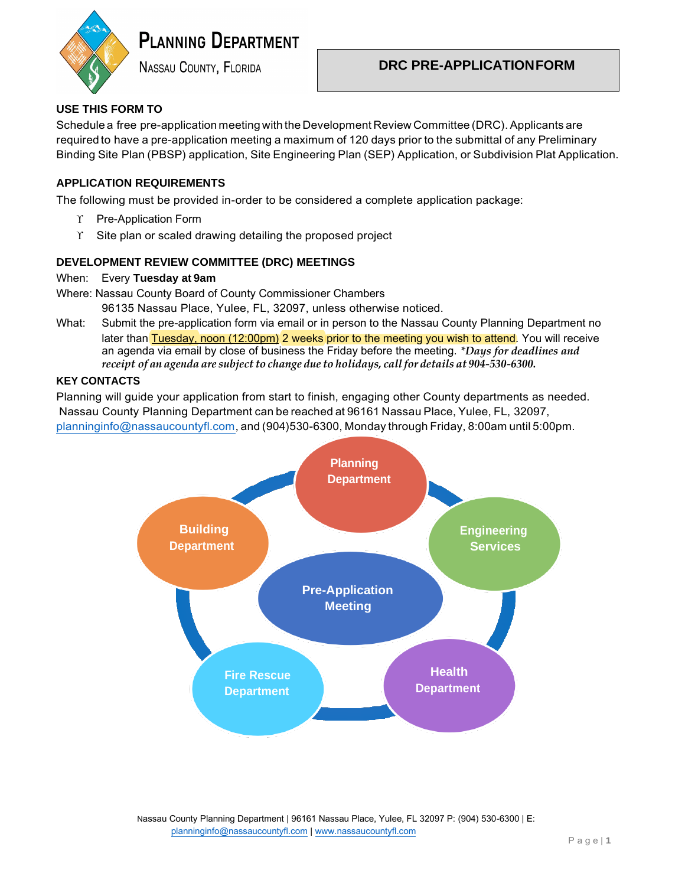

# **PLANNING DEPARTMENT**

**NASSAU COUNTY, FLORIDA** 

# **DRC PRE-APPLICATIONFORM**

## **USE THIS FORM TO**

Schedule a free pre-application meeting with the Development Review Committee (DRC). Applicants are required to have a pre-application meeting a maximum of 120 days prior to the submittal of any Preliminary Binding Site Plan (PBSP) application, Site Engineering Plan (SEP) Application, or Subdivision Plat Application.

### **APPLICATION REQUIREMENTS**

The following must be provided in-order to be considered a complete application package:

- $\Upsilon$  Pre-Application Form
- $\Upsilon$  Site plan or scaled drawing detailing the proposed project

#### **DEVELOPMENT REVIEW COMMITTEE (DRC) MEETINGS**

#### When: Every **Tuesday at 9am**

Where: Nassau County Board of County Commissioner Chambers

96135 Nassau Place, Yulee, FL, 32097, unless otherwise noticed.

What: Submit the pre-application form via email or in person to the Nassau County Planning Department no later than **Tuesday, noon (12:00pm)** 2 weeks prior to the meeting you wish to attend. You will receive an agenda via email by close of business the Friday before the meeting. *\*Days for deadlines and receipt of an agenda are subject to change due to holidays, call for details at 904-530-6300.* 

#### **KEY CONTACTS**

Planning will guide your application from start to finish, engaging other County departments as needed. Nassau County Planning Department can be reached at 96161 Nassau Place, Yulee, FL, 32097, [planninginfo@nassaucountyfl.com,](mailto:planninginfo@nassaucountyfl.com) and (904)530-6300, Monday through Friday, 8:00am until 5:00pm.